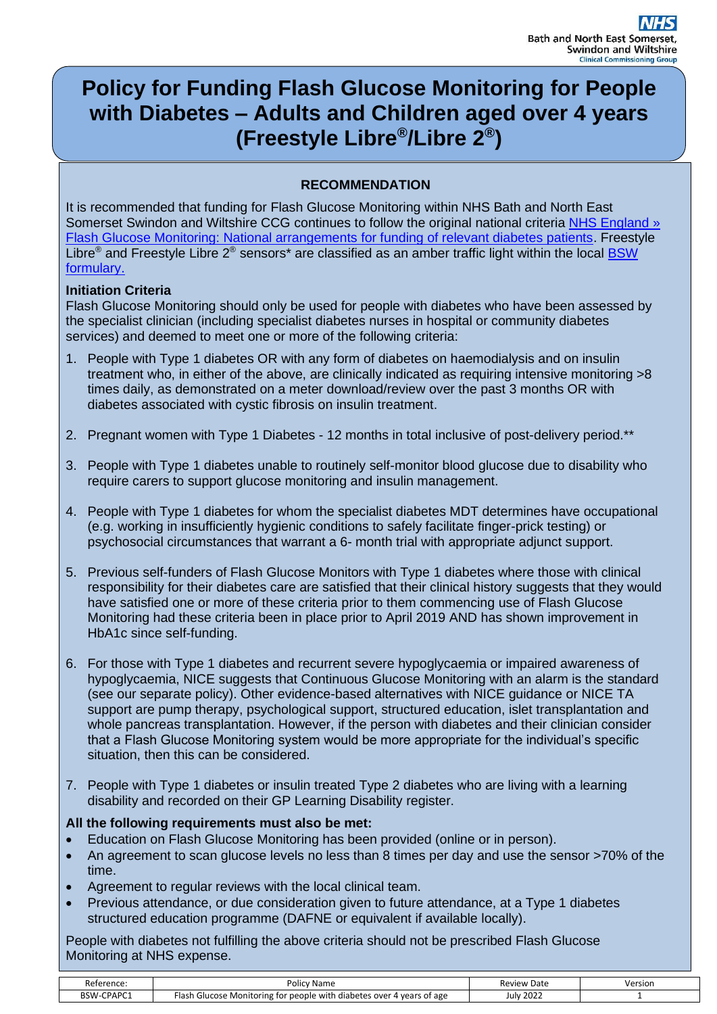# **Policy for Funding Flash Glucose Monitoring for People with Diabetes – Adults and Children aged over 4 years (Freestyle Libre® /Libre 2® )**

# **RECOMMENDATION**

It is recommended that funding for Flash Glucose Monitoring within NHS Bath and North East Somerset Swindon and Wiltshire CCG continues to follow the original national criteria [NHS England »](https://www.england.nhs.uk/publication/flash-glucose-monitoring-national-arrangements-for-funding-of-relevant-diabetes-patients/)  [Flash Glucose Monitoring: National arrangements for funding of relevant diabetes patients.](https://www.england.nhs.uk/publication/flash-glucose-monitoring-national-arrangements-for-funding-of-relevant-diabetes-patients/) Freestyle Libre<sup>®</sup> and Freestyle Libre 2<sup>®</sup> sensors<sup>\*</sup> are classified as an amber traffic light within the local BSW [formulary.](http://www.bswformulary.nhs.uk/chaptersSubDetails.asp?FormularySectionID=6&SubSectionRef=06.01.06&SubSectionID=B100&drug)

#### **Initiation Criteria**

Flash Glucose Monitoring should only be used for people with diabetes who have been assessed by the specialist clinician (including specialist diabetes nurses in hospital or community diabetes services) and deemed to meet one or more of the following criteria:

- 1. People with Type 1 diabetes OR with any form of diabetes on haemodialysis and on insulin treatment who, in either of the above, are clinically indicated as requiring intensive monitoring >8 times daily, as demonstrated on a meter download/review over the past 3 months OR with diabetes associated with cystic fibrosis on insulin treatment.
- 2. Pregnant women with Type 1 Diabetes 12 months in total inclusive of post-delivery period.\*\*
- 3. People with Type 1 diabetes unable to routinely self-monitor blood glucose due to disability who require carers to support glucose monitoring and insulin management.
- 4. People with Type 1 diabetes for whom the specialist diabetes MDT determines have occupational (e.g. working in insufficiently hygienic conditions to safely facilitate finger-prick testing) or psychosocial circumstances that warrant a 6- month trial with appropriate adjunct support.
- 5. Previous self-funders of Flash Glucose Monitors with Type 1 diabetes where those with clinical responsibility for their diabetes care are satisfied that their clinical history suggests that they would have satisfied one or more of these criteria prior to them commencing use of Flash Glucose Monitoring had these criteria been in place prior to April 2019 AND has shown improvement in HbA1c since self-funding.
- 6. For those with Type 1 diabetes and recurrent severe hypoglycaemia or impaired awareness of hypoglycaemia, NICE suggests that Continuous Glucose Monitoring with an alarm is the standard (see our separate policy). Other evidence-based alternatives with NICE guidance or NICE TA support are pump therapy, psychological support, structured education, islet transplantation and whole pancreas transplantation. However, if the person with diabetes and their clinician consider that a Flash Glucose Monitoring system would be more appropriate for the individual's specific situation, then this can be considered.
- 7. People with Type 1 diabetes or insulin treated Type 2 diabetes who are living with a learning disability and recorded on their GP Learning Disability register.

#### **All the following requirements must also be met:**

- Education on Flash Glucose Monitoring has been provided (online or in person).
- An agreement to scan glucose levels no less than 8 times per day and use the sensor >70% of the time.
- Agreement to regular reviews with the local clinical team.
- Previous attendance, or due consideration given to future attendance, at a Type 1 diabetes structured education programme (DAFNE or equivalent if available locally).

People with diabetes not fulfilling the above criteria should not be prescribed Flash Glucose Monitoring at NHS expense.

| $\sim$<br>Reference <sup>.</sup>  | ' Name<br><b>ור כ</b><br>υπ                                                                   | Review<br>Date | Version |
|-----------------------------------|-----------------------------------------------------------------------------------------------|----------------|---------|
| . $P\Delta PT$<br><b>BSW</b><br>. | . Monitoring *<br>vears of age<br>Glucose<br>i diabetes over<br>with<br>people<br>tor<br>-145 | July 2022      |         |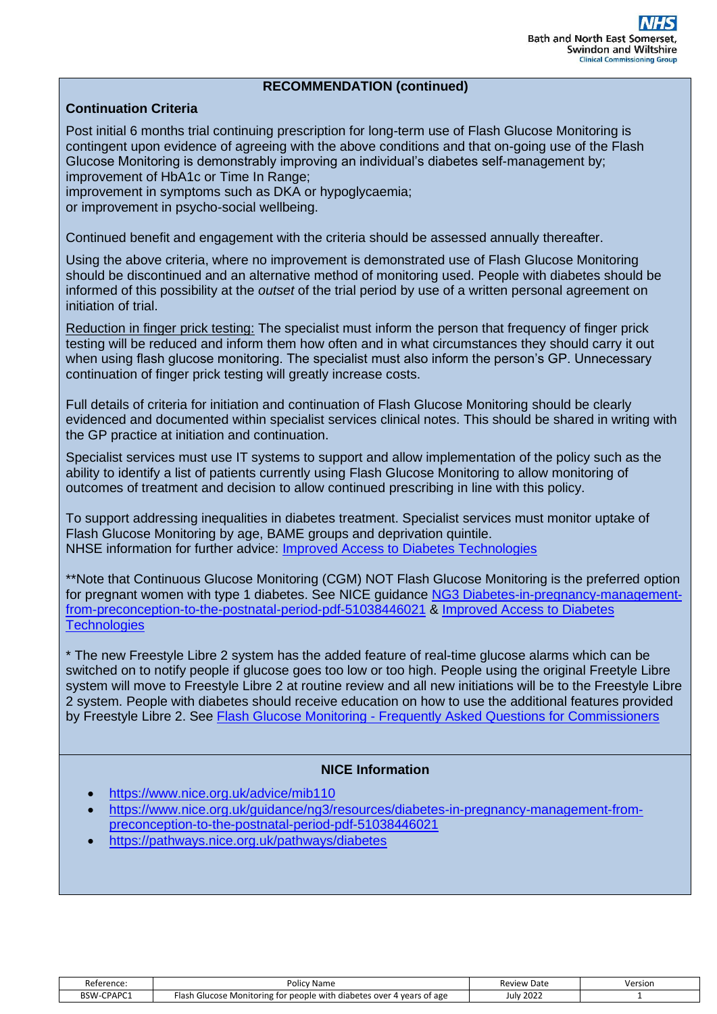#### **RECOMMENDATION (continued)**

#### **Continuation Criteria**

Post initial 6 months trial continuing prescription for long-term use of Flash Glucose Monitoring is contingent upon evidence of agreeing with the above conditions and that on-going use of the Flash Glucose Monitoring is demonstrably improving an individual's diabetes self-management by; improvement of HbA1c or Time In Range;

improvement in symptoms such as DKA or hypoglycaemia; or improvement in psycho-social wellbeing.

Continued benefit and engagement with the criteria should be assessed annually thereafter.

Using the above criteria, where no improvement is demonstrated use of Flash Glucose Monitoring should be discontinued and an alternative method of monitoring used. People with diabetes should be informed of this possibility at the *outset* of the trial period by use of a written personal agreement on initiation of trial.

Reduction in finger prick testing: The specialist must inform the person that frequency of finger prick testing will be reduced and inform them how often and in what circumstances they should carry it out when using flash glucose monitoring. The specialist must also inform the person's GP. Unnecessary continuation of finger prick testing will greatly increase costs.

Full details of criteria for initiation and continuation of Flash Glucose Monitoring should be clearly evidenced and documented within specialist services clinical notes. This should be shared in writing with the GP practice at initiation and continuation.

Specialist services must use IT systems to support and allow implementation of the policy such as the ability to identify a list of patients currently using Flash Glucose Monitoring to allow monitoring of outcomes of treatment and decision to allow continued prescribing in line with this policy.

To support addressing inequalities in diabetes treatment. Specialist services must monitor uptake of Flash Glucose Monitoring by age, BAME groups and deprivation quintile. NHSE information for further advice: [Improved Access to Diabetes Technologies](https://www.england.nhs.uk/ltphimenu/diabetes-prevention/improved-access-to-technologies-flash-glucose-monitors-for-people-with-type-1-diabetes-and-continuous-glucose-monitoring-for-pregnant-women/)

\*\*Note that Continuous Glucose Monitoring (CGM) NOT Flash Glucose Monitoring is the preferred option for pregnant women with type 1 diabetes. See NICE guidance [NG3 Diabetes-in-pregnancy-management](https://www.nice.org.uk/guidance/ng3/resources/diabetes-in-pregnancy-management-from-preconception-to-the-postnatal-period-pdf-51038446021)[from-preconception-to-the-postnatal-period-pdf-51038446021](https://www.nice.org.uk/guidance/ng3/resources/diabetes-in-pregnancy-management-from-preconception-to-the-postnatal-period-pdf-51038446021) & [Improved Access to Diabetes](https://www.england.nhs.uk/ltphimenu/diabetes-prevention/improved-access-to-technologies-flash-glucose-monitors-for-people-with-type-1-diabetes-and-continuous-glucose-monitoring-for-pregnant-women/)  **[Technologies](https://www.england.nhs.uk/ltphimenu/diabetes-prevention/improved-access-to-technologies-flash-glucose-monitors-for-people-with-type-1-diabetes-and-continuous-glucose-monitoring-for-pregnant-women/)** 

\* The new Freestyle Libre 2 system has the added feature of real-time glucose alarms which can be switched on to notify people if glucose goes too low or too high. People using the original Freetyle Libre system will move to Freestyle Libre 2 at routine review and all new initiations will be to the Freestyle Libre 2 system. People with diabetes should receive education on how to use the additional features provided by Freestyle Libre 2. See Flash Glucose Monitoring - [Frequently Asked Questions for Commissioners](https://www.england.nhs.uk/diabetes/digital-innovations-to-support-diabetes-outcomes/flash-glucose-monitoring/faqs-commissioners/)

# **NICE Information**

- <https://www.nice.org.uk/advice/mib110>
- [https://www.nice.org.uk/guidance/ng3/resources/diabetes-in-pregnancy-management-from](https://www.nice.org.uk/guidance/ng3/resources/diabetes-in-pregnancy-management-from-preconception-to-the-postnatal-period-pdf-51038446021)[preconception-to-the-postnatal-period-pdf-51038446021](https://www.nice.org.uk/guidance/ng3/resources/diabetes-in-pregnancy-management-from-preconception-to-the-postnatal-period-pdf-51038446021)
- <https://pathways.nice.org.uk/pathways/diabetes>

| Reference:        | Policv<br>' Name                                                                   | <b>Review Date</b> | Version |
|-------------------|------------------------------------------------------------------------------------|--------------------|---------|
| <b>BSW-CPAPC1</b> | า Glucose Monitoring for people with<br>-lasł<br>4 years of age<br>diabetes over ن | <b>July 2022</b>   |         |